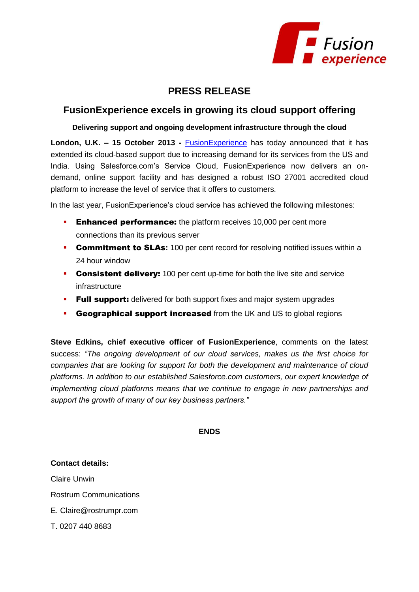

## **PRESS RELEASE**

## **FusionExperience excels in growing its cloud support offering**

**Delivering support and ongoing development infrastructure through the cloud**

**London, U.K. – 15 October 2013 -** [FusionExperience](http://www.fusion-experience.com/) has today announced that it has extended its cloud-based support due to increasing demand for its services from the US and India. Using Salesforce.com's Service Cloud, FusionExperience now delivers an ondemand, online support facility and has designed a robust ISO 27001 accredited cloud platform to increase the level of service that it offers to customers.

In the last year, FusionExperience's cloud service has achieved the following milestones:

- **Enhanced performance:** the platform receives 10,000 per cent more connections than its previous server
- **Commitment to SLAs:** 100 per cent record for resolving notified issues within a 24 hour window
- **Consistent delivery:** 100 per cent up-time for both the live site and service infrastructure
- **Full support:** delivered for both support fixes and major system upgrades
- **Geographical support increased** from the UK and US to global regions

**Steve Edkins, chief executive officer of FusionExperience**, comments on the latest success: *"The ongoing development of our cloud services, makes us the first choice for companies that are looking for support for both the development and maintenance of cloud platforms. In addition to our established Salesforce.com customers, our expert knowledge of implementing cloud platforms means that we continue to engage in new partnerships and support the growth of many of our key business partners."*

**ENDS**

**Contact details:**  Claire Unwin Rostrum Communications E. Claire@rostrumpr.com T. 0207 440 8683